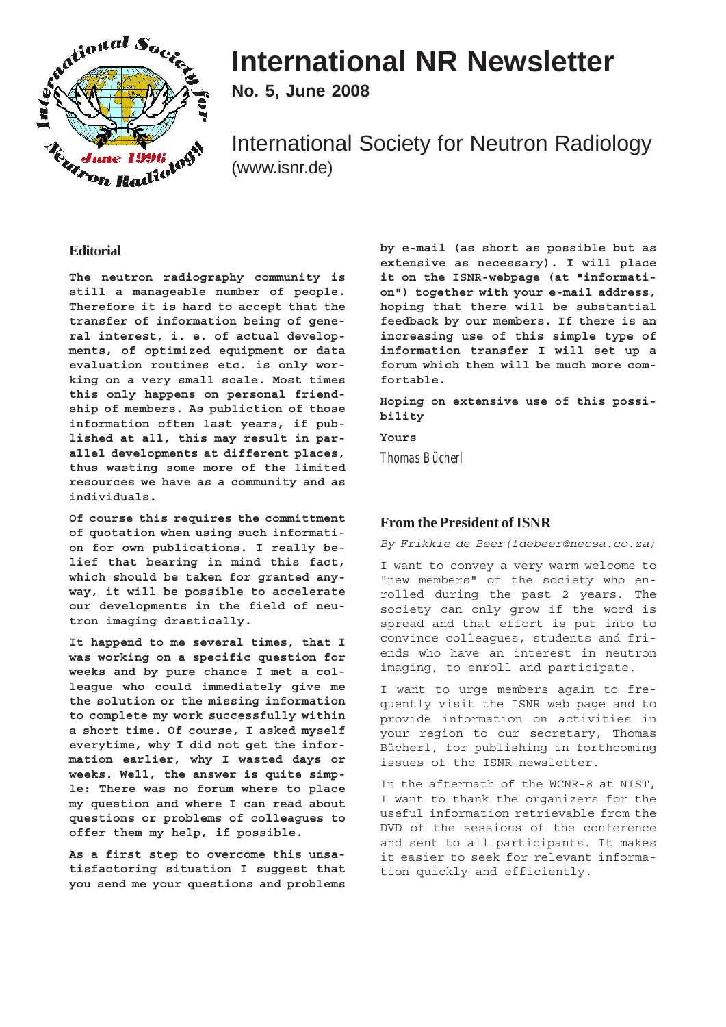

# **International NR Newsletter**

**No. 5, June 2008**

International Society for Neutron Radiology (www.isnr.de)

# **Editorial**

**The neutron radiography community is still a manageable number of people. Therefore it is hard to accept that the transfer of information being of general interest, i. e. of actual developments, of optimized equipment or data evaluation routines etc. is only working on a very small scale. Most times this only happens on personal friendship of members. As publiction of those information often last years, if published at all, this may result in parallel developments at different places, thus wasting some more of the limited resources we have as a community and as individuals.**

**Of course this requires the committment of quotation when using such information for own publications. I really belief that bearing in mind this fact, which should be taken for granted anyway, it will be possible to accelerate our developments in the field of neutron imaging drastically.**

**It happend to me several times, that I was working on a specific question for weeks and by pure chance I met a colleague who could immediately give me the solution or the missing information to complete my work successfully within a short time. Of course, I asked myself everytime, why I did not get the information earlier, why I wasted days or weeks. Well, the answer is quite simple: There was no forum where to place my question and where I can read about questions or problems of colleagues to offer them my help, if possible.**

**As a first step to overcome this unsatisfactoring situation I suggest that you send me your questions and problems** **by e-mail (as short as possible but as extensive as necessary). I will place it on the ISNR-webpage (at "information") together with your e-mail address, hoping that there will be substantial feedback by our members. If there is an increasing use of this simple type of information transfer I will set up a forum which then will be much more comfortable.**

**Hoping on extensive use of this possibility**

**Yours**

*Thomas Bücherl*

# **From the President of ISNR**

By Frikkie de Beer(fdebeer@necsa.co.za)

I want to convey a very warm welcome to "new members" of the society who enrolled during the past 2 years. The society can only grow if the word is spread and that effort is put into to convince colleagues, students and friends who have an interest in neutron imaging, to enroll and participate.

I want to urge members again to frequently visit the ISNR web page and to provide information on activities in your region to our secretary, Thomas Bücherl, for publishing in forthcoming issues of the ISNR-newsletter.

In the aftermath of the WCNR-8 at NIST, I want to thank the organizers for the useful information retrievable from the DVD of the sessions of the conference and sent to all participants. It makes it easier to seek for relevant information quickly and efficiently.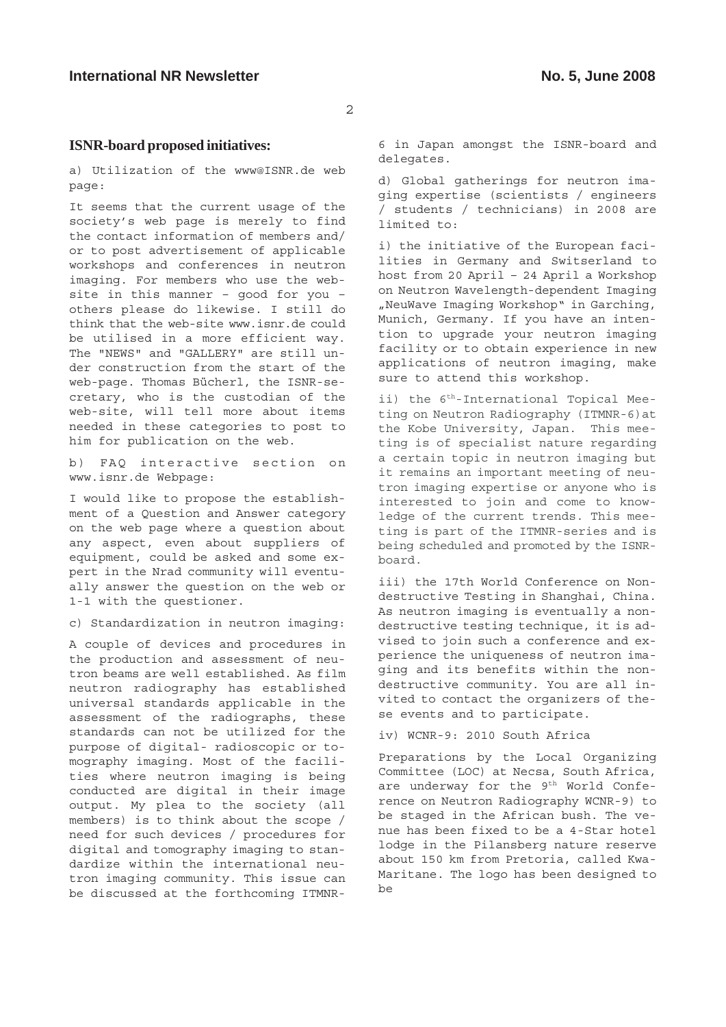## **ISNR-board proposed initiatives:**

a) Utilization of the www@ISNR.de web page:

It seems that the current usage of the society's web page is merely to find the contact information of members and/ or to post advertisement of applicable workshops and conferences in neutron imaging. For members who use the website in this manner – good for you – others please do likewise. I still do think that the web-site www.isnr.de could be utilised in a more efficient way. The "NEWS" and "GALLERY" are still under construction from the start of the web-page. Thomas Bücherl, the ISNR-secretary, who is the custodian of the web-site, will tell more about items needed in these categories to post to him for publication on the web.

b) FAQ interactive section on www.isnr.de Webpage:

I would like to propose the establishment of a Question and Answer category on the web page where a question about any aspect, even about suppliers of equipment, could be asked and some expert in the Nrad community will eventually answer the question on the web or 1-1 with the questioner.

c) Standardization in neutron imaging:

A couple of devices and procedures in the production and assessment of neutron beams are well established. As film neutron radiography has established universal standards applicable in the assessment of the radiographs, these standards can not be utilized for the purpose of digital- radioscopic or tomography imaging. Most of the facilities where neutron imaging is being conducted are digital in their image output. My plea to the society (all members) is to think about the scope / need for such devices / procedures for digital and tomography imaging to standardize within the international neutron imaging community. This issue can be discussed at the forthcoming ITMNR-

6 in Japan amongst the ISNR-board and delegates.

d) Global gatherings for neutron imaging expertise (scientists / engineers / students / technicians) in 2008 are limited to:

i) the initiative of the European facilities in Germany and Switserland to host from 20 April – 24 April a Workshop on Neutron Wavelength-dependent Imaging "NeuWave Imaging Workshop" in Garching, Munich, Germany. If you have an intention to upgrade your neutron imaging facility or to obtain experience in new applications of neutron imaging, make sure to attend this workshop.

ii) the  $6<sup>th</sup>$ -International Topical Meeting on Neutron Radiography (ITMNR-6)at the Kobe University, Japan. This meeting is of specialist nature regarding a certain topic in neutron imaging but it remains an important meeting of neutron imaging expertise or anyone who is interested to join and come to knowledge of the current trends. This meeting is part of the ITMNR-series and is being scheduled and promoted by the ISNRboard.

iii) the 17th World Conference on Nondestructive Testing in Shanghai, China. As neutron imaging is eventually a nondestructive testing technique, it is advised to join such a conference and experience the uniqueness of neutron imaging and its benefits within the nondestructive community. You are all invited to contact the organizers of these events and to participate.

iv) WCNR-9: 2010 South Africa

Preparations by the Local Organizing Committee (LOC) at Necsa, South Africa, are underway for the 9<sup>th</sup> World Conference on Neutron Radiography WCNR-9) to be staged in the African bush. The venue has been fixed to be a 4-Star hotel lodge in the Pilansberg nature reserve about 150 km from Pretoria, called Kwa-Maritane. The logo has been designed to be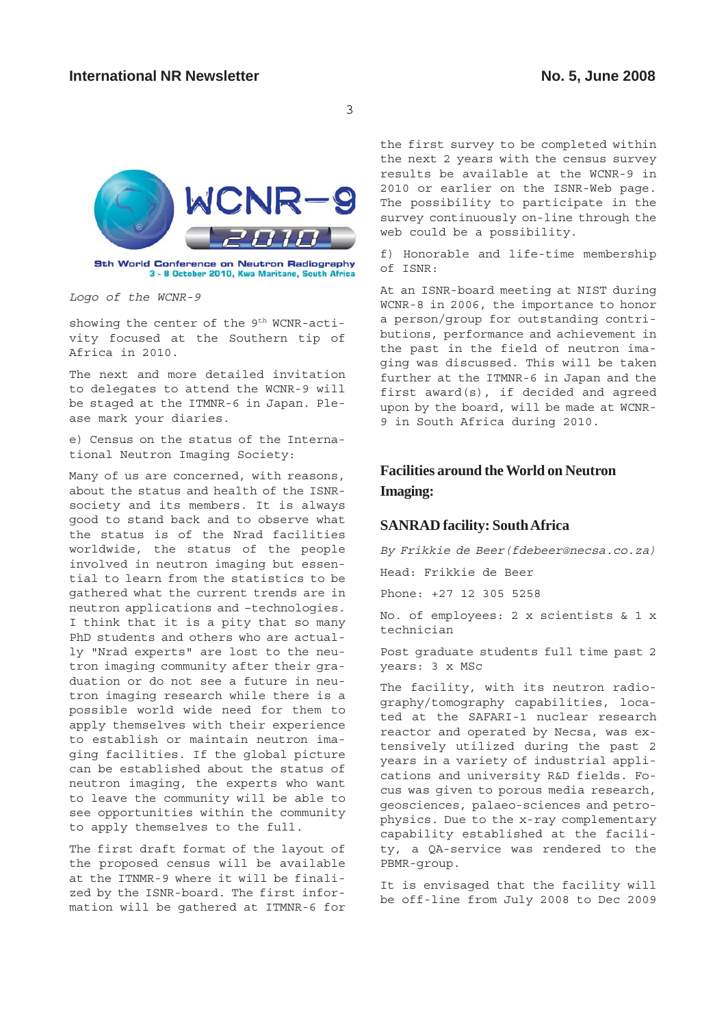

9th World Conference on Neutron Radiography 3 - 8 October 2010, Kwa Maritane, South Africa

Logo of the WCNR-9

showing the center of the 9<sup>th</sup> WCNR-activity focused at the Southern tip of Africa in 2010.

The next and more detailed invitation to delegates to attend the WCNR-9 will be staged at the ITMNR-6 in Japan. Please mark your diaries.

e) Census on the status of the International Neutron Imaging Society:

Many of us are concerned, with reasons, about the status and health of the ISNRsociety and its members. It is always good to stand back and to observe what the status is of the Nrad facilities worldwide, the status of the people involved in neutron imaging but essential to learn from the statistics to be gathered what the current trends are in neutron applications and –technologies. I think that it is a pity that so many PhD students and others who are actually "Nrad experts" are lost to the neutron imaging community after their graduation or do not see a future in neutron imaging research while there is a possible world wide need for them to apply themselves with their experience to establish or maintain neutron imaging facilities. If the global picture can be established about the status of neutron imaging, the experts who want to leave the community will be able to see opportunities within the community to apply themselves to the full.

The first draft format of the layout of the proposed census will be available at the ITNMR-9 where it will be finalized by the ISNR-board. The first information will be gathered at ITMNR-6 for the first survey to be completed within the next 2 years with the census survey results be available at the WCNR-9 in 2010 or earlier on the ISNR-Web page. The possibility to participate in the survey continuously on-line through the web could be a possibility.

f) Honorable and life-time membership of ISNR:

At an ISNR-board meeting at NIST during WCNR-8 in 2006, the importance to honor a person/group for outstanding contributions, performance and achievement in the past in the field of neutron imaging was discussed. This will be taken further at the ITMNR-6 in Japan and the first award(s), if decided and agreed upon by the board, will be made at WCNR-9 in South Africa during 2010.

# **Facilities around the World on Neutron Imaging:**

# **SANRAD facility: South Africa**

By Frikkie de Beer(fdebeer@necsa.co.za)

Head: Frikkie de Beer

Phone: +27 12 305 5258

No. of employees: 2 x scientists & 1 x technician

Post graduate students full time past 2 years: 3 x MSc

The facility, with its neutron radiography/tomography capabilities, located at the SAFARI-1 nuclear research reactor and operated by Necsa, was extensively utilized during the past 2 years in a variety of industrial applications and university R&D fields. Focus was given to porous media research, geosciences, palaeo-sciences and petrophysics. Due to the x-ray complementary capability established at the facility, a QA-service was rendered to the PBMR-group.

It is envisaged that the facility will be off-line from July 2008 to Dec 2009

3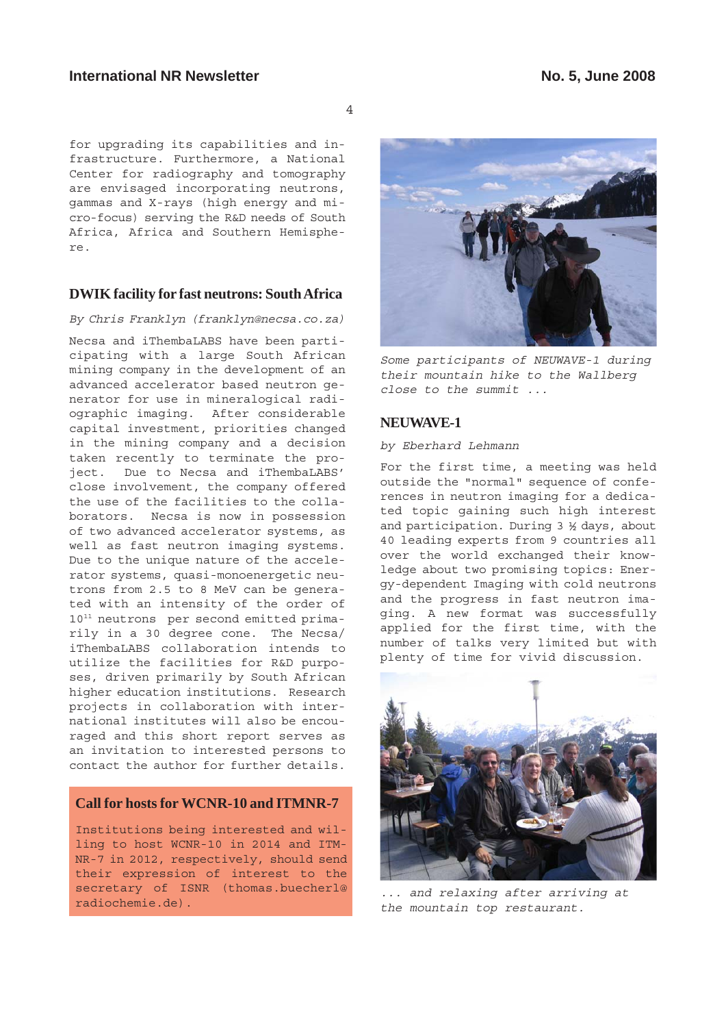# **International NR Newsletter No. 5, June 2008**

4

for upgrading its capabilities and infrastructure. Furthermore, a National Center for radiography and tomography are envisaged incorporating neutrons, gammas and X-rays (high energy and micro-focus) serving the R&D needs of South Africa, Africa and Southern Hemisphere.

# **DWIK facility for fast neutrons: South Africa**

By Chris Franklyn (franklyn@necsa.co.za)

Necsa and iThembaLABS have been participating with a large South African mining company in the development of an advanced accelerator based neutron generator for use in mineralogical radiographic imaging. After considerable capital investment, priorities changed in the mining company and a decision taken recently to terminate the project. Due to Necsa and iThembaLABS' close involvement, the company offered the use of the facilities to the collaborators. Necsa is now in possession of two advanced accelerator systems, as well as fast neutron imaging systems. Due to the unique nature of the accelerator systems, quasi-monoenergetic neutrons from 2.5 to 8 MeV can be generated with an intensity of the order of 1011 neutrons per second emitted primarily in a 30 degree cone. The Necsa/ iThembaLABS collaboration intends to utilize the facilities for R&D purposes, driven primarily by South African higher education institutions. Research projects in collaboration with international institutes will also be encouraged and this short report serves as an invitation to interested persons to contact the author for further details.

# **Call for hosts for WCNR-10 and ITMNR-7**

Institutions being interested and willing to host WCNR-10 in 2014 and ITM-NR-7 in 2012, respectively, should send their expression of interest to the secretary of ISNR (thomas.buecherl@ radiochemie.de).



Some participants of NEUWAVE-1 during their mountain hike to the Wallberg close to the summit ...

# **NEUWAVE-1**

#### by Eberhard Lehmann

For the first time, a meeting was held outside the "normal" sequence of conferences in neutron imaging for a dedicated topic gaining such high interest and participation. During 3 ½ days, about 40 leading experts from 9 countries all over the world exchanged their knowledge about two promising topics: Energy-dependent Imaging with cold neutrons and the progress in fast neutron imaging. A new format was successfully applied for the first time, with the number of talks very limited but with plenty of time for vivid discussion.



... and relaxing after arriving at the mountain top restaurant.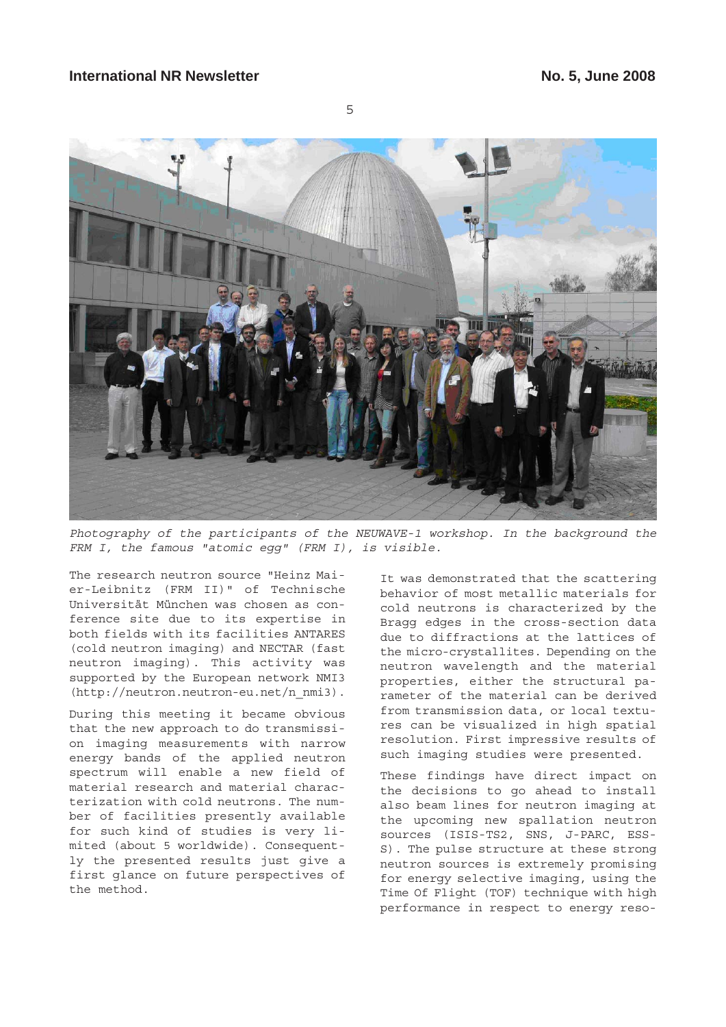

Photography of the participants of the NEUWAVE-1 workshop. In the background the FRM I, the famous "atomic eqq" (FRM I), is visible.

The research neutron source "Heinz Maier-Leibnitz (FRM II)" of Technische Universität München was chosen as conference site due to its expertise in both fields with its facilities ANTARES (cold neutron imaging) and NECTAR (fast neutron imaging). This activity was supported by the European network NMI3 (http://neutron.neutron-eu.net/n\_nmi3).

During this meeting it became obvious that the new approach to do transmission imaging measurements with narrow energy bands of the applied neutron spectrum will enable a new field of material research and material characterization with cold neutrons. The number of facilities presently available for such kind of studies is very limited (about 5 worldwide). Consequently the presented results just give a first glance on future perspectives of the method.

It was demonstrated that the scattering behavior of most metallic materials for cold neutrons is characterized by the Bragg edges in the cross-section data due to diffractions at the lattices of the micro-crystallites. Depending on the neutron wavelength and the material properties, either the structural parameter of the material can be derived from transmission data, or local textures can be visualized in high spatial resolution. First impressive results of such imaging studies were presented.

These findings have direct impact on the decisions to go ahead to install also beam lines for neutron imaging at the upcoming new spallation neutron sources (ISIS-TS2, SNS, J-PARC, ESS-S). The pulse structure at these strong neutron sources is extremely promising for energy selective imaging, using the Time Of Flight (TOF) technique with high performance in respect to energy reso-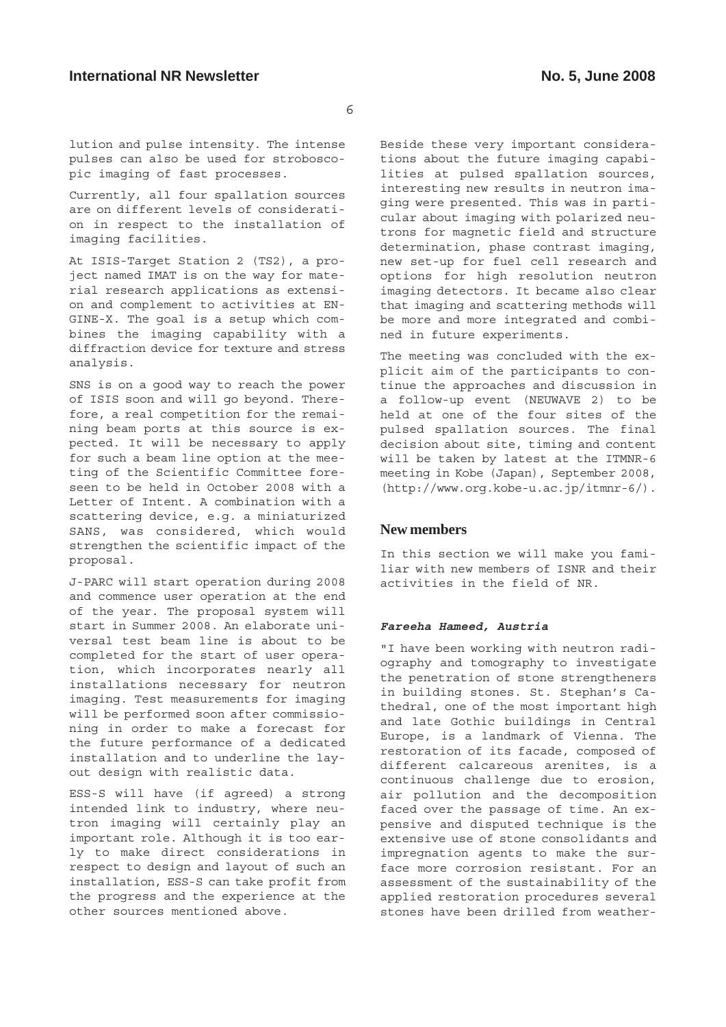lution and pulse intensity. The intense pulses can also be used for stroboscopic imaging of fast processes.

Currently, all four spallation sources are on different levels of consideration in respect to the installation of imaging facilities.

At ISIS-Target Station 2 (TS2), a project named IMAT is on the way for material research applications as extension and complement to activities at EN-GINE-X. The goal is a setup which combines the imaging capability with a diffraction device for texture and stress analysis.

SNS is on a good way to reach the power of ISIS soon and will go beyond. Therefore, a real competition for the remaining beam ports at this source is expected. It will be necessary to apply for such a beam line option at the meeting of the Scientific Committee foreseen to be held in October 2008 with a Letter of Intent. A combination with a scattering device, e.g. a miniaturized SANS, was considered, which would strengthen the scientific impact of the proposal.

J-PARC will start operation during 2008 and commence user operation at the end of the year. The proposal system will start in Summer 2008. An elaborate universal test beam line is about to be completed for the start of user operation, which incorporates nearly all installations necessary for neutron imaging. Test measurements for imaging will be performed soon after commissioning in order to make a forecast for the future performance of a dedicated installation and to underline the layout design with realistic data.

ESS-S will have (if agreed) a strong intended link to industry, where neutron imaging will certainly play an important role. Although it is too early to make direct considerations in respect to design and layout of such an installation, ESS-S can take profit from the progress and the experience at the other sources mentioned above.

Beside these very important considerations about the future imaging capabilities at pulsed spallation sources, interesting new results in neutron imaging were presented. This was in particular about imaging with polarized neutrons for magnetic field and structure determination, phase contrast imaging, new set-up for fuel cell research and options for high resolution neutron imaging detectors. It became also clear that imaging and scattering methods will be more and more integrated and combined in future experiments.

The meeting was concluded with the explicit aim of the participants to continue the approaches and discussion in a follow-up event (NEUWAVE 2) to be held at one of the four sites of the pulsed spallation sources. The final decision about site, timing and content will be taken by latest at the ITMNR-6 meeting in Kobe (Japan), September 2008, (http://www.org.kobe-u.ac.jp/itmnr-6/).

# **New members**

In this section we will make you familiar with new members of ISNR and their activities in the field of NR.

#### **Fareeha Hameed, Austria**

"I have been working with neutron radiography and tomography to investigate the penetration of stone strengtheners in building stones. St. Stephan's Cathedral, one of the most important high and late Gothic buildings in Central Europe, is a landmark of Vienna. The restoration of its facade, composed of different calcareous arenites, is a continuous challenge due to erosion, air pollution and the decomposition faced over the passage of time. An expensive and disputed technique is the extensive use of stone consolidants and impregnation agents to make the surface more corrosion resistant. For an assessment of the sustainability of the applied restoration procedures several stones have been drilled from weather-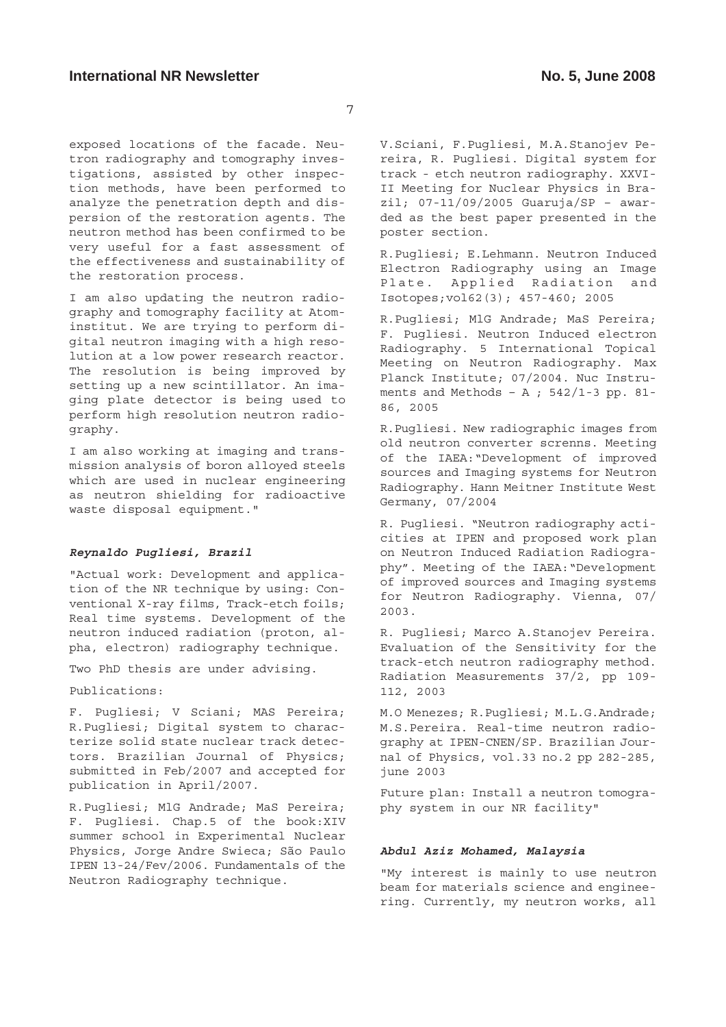exposed locations of the facade. Neutron radiography and tomography investigations, assisted by other inspection methods, have been performed to analyze the penetration depth and dispersion of the restoration agents. The neutron method has been confirmed to be very useful for a fast assessment of the effectiveness and sustainability of the restoration process.

I am also updating the neutron radiography and tomography facility at Atominstitut. We are trying to perform digital neutron imaging with a high resolution at a low power research reactor. The resolution is being improved by setting up a new scintillator. An imaging plate detector is being used to perform high resolution neutron radiography.

I am also working at imaging and transmission analysis of boron alloyed steels which are used in nuclear engineering as neutron shielding for radioactive waste disposal equipment."

## **Reynaldo Pugliesi, Brazil**

"Actual work: Development and application of the NR technique by using: Conventional X-ray films, Track-etch foils; Real time systems. Development of the neutron induced radiation (proton, alpha, electron) radiography technique.

Two PhD thesis are under advising.

Publications:

F. Pugliesi; V Sciani; MAS Pereira; R.Pugliesi; Digital system to characterize solid state nuclear track detectors. Brazilian Journal of Physics; submitted in Feb/2007 and accepted for publication in April/2007.

R.Pugliesi; MlG Andrade; MaS Pereira; F. Pugliesi. Chap.5 of the book:XIV summer school in Experimental Nuclear Physics, Jorge Andre Swieca; São Paulo IPEN 13-24/Fev/2006. Fundamentals of the Neutron Radiography technique.

V.Sciani, F.Pugliesi, M.A.Stanojev Pereira, R. Pugliesi. Digital system for track - etch neutron radiography. XXVI-II Meeting for Nuclear Physics in Brazil; 07-11/09/2005 Guaruja/SP – awarded as the best paper presented in the poster section.

R.Pugliesi; E.Lehmann. Neutron Induced Electron Radiography using an Image Plate. Applied Radiation and Isotopes;vol62(3); 457-460; 2005

R.Pugliesi; MlG Andrade; MaS Pereira; F. Pugliesi. Neutron Induced electron Radiography. 5 International Topical Meeting on Neutron Radiography. Max Planck Institute; 07/2004. Nuc Instruments and Methods - A ;  $542/1-3$  pp. 81-86, 2005

R.Pugliesi. New radiographic images from old neutron converter screnns. Meeting of the IAEA:"Development of improved sources and Imaging systems for Neutron Radiography. Hann Meitner Institute West Germany, 07/2004

R. Pugliesi. "Neutron radiography acticities at IPEN and proposed work plan on Neutron Induced Radiation Radiography". Meeting of the IAEA:"Development of improved sources and Imaging systems for Neutron Radiography. Vienna, 07/ 2003.

R. Pugliesi; Marco A.Stanojev Pereira. Evaluation of the Sensitivity for the track-etch neutron radiography method. Radiation Measurements 37/2, pp 109- 112, 2003

M.O Menezes; R.Pugliesi; M.L.G.Andrade; M.S.Pereira. Real-time neutron radiography at IPEN-CNEN/SP. Brazilian Journal of Physics, vol.33 no.2 pp 282-285, june 2003

Future plan: Install a neutron tomography system in our NR facility"

#### **Abdul Aziz Mohamed, Malaysia**

"My interest is mainly to use neutron beam for materials science and engineering. Currently, my neutron works, all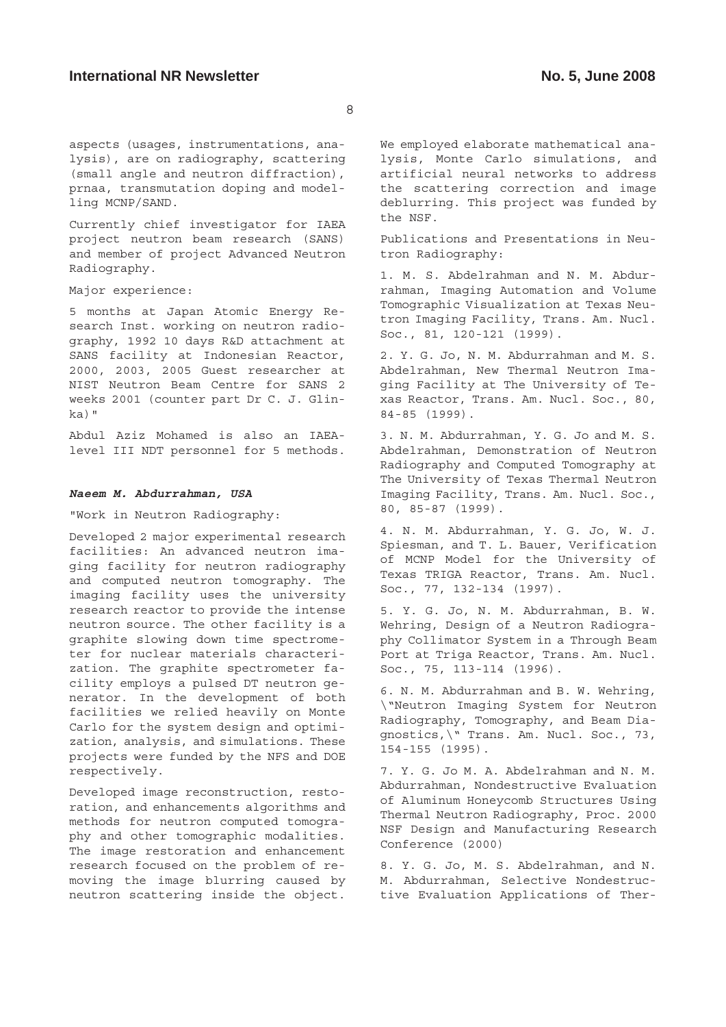aspects (usages, instrumentations, analysis), are on radiography, scattering (small angle and neutron diffraction), prnaa, transmutation doping and modelling MCNP/SAND.

Currently chief investigator for IAEA project neutron beam research (SANS) and member of project Advanced Neutron Radiography.

#### Major experience:

5 months at Japan Atomic Energy Research Inst. working on neutron radiography, 1992 10 days R&D attachment at SANS facility at Indonesian Reactor, 2000, 2003, 2005 Guest researcher at NIST Neutron Beam Centre for SANS 2 weeks 2001 (counter part Dr C. J. Glinka)"

Abdul Aziz Mohamed is also an IAEAlevel III NDT personnel for 5 methods.

#### **Naeem M. Abdurrahman, USA**

"Work in Neutron Radiography:

Developed 2 major experimental research facilities: An advanced neutron imaging facility for neutron radiography and computed neutron tomography. The imaging facility uses the university research reactor to provide the intense neutron source. The other facility is a graphite slowing down time spectrometer for nuclear materials characterization. The graphite spectrometer facility employs a pulsed DT neutron generator. In the development of both facilities we relied heavily on Monte Carlo for the system design and optimization, analysis, and simulations. These projects were funded by the NFS and DOE respectively.

Developed image reconstruction, restoration, and enhancements algorithms and methods for neutron computed tomography and other tomographic modalities. The image restoration and enhancement research focused on the problem of removing the image blurring caused by neutron scattering inside the object. We employed elaborate mathematical analysis, Monte Carlo simulations, and artificial neural networks to address the scattering correction and image deblurring. This project was funded by the NSF.

Publications and Presentations in Neutron Radiography:

1. M. S. Abdelrahman and N. M. Abdurrahman, Imaging Automation and Volume Tomographic Visualization at Texas Neutron Imaging Facility, Trans. Am. Nucl. Soc., 81, 120-121 (1999).

2. Y. G. Jo, N. M. Abdurrahman and M. S. Abdelrahman, New Thermal Neutron Imaging Facility at The University of Texas Reactor, Trans. Am. Nucl. Soc., 80, 84-85 (1999).

3. N. M. Abdurrahman, Y. G. Jo and M. S. Abdelrahman, Demonstration of Neutron Radiography and Computed Tomography at The University of Texas Thermal Neutron Imaging Facility, Trans. Am. Nucl. Soc., 80, 85-87 (1999).

4. N. M. Abdurrahman, Y. G. Jo, W. J. Spiesman, and T. L. Bauer, Verification of MCNP Model for the University of Texas TRIGA Reactor, Trans. Am. Nucl. Soc., 77, 132-134 (1997).

5. Y. G. Jo, N. M. Abdurrahman, B. W. Wehring, Design of a Neutron Radiography Collimator System in a Through Beam Port at Triga Reactor, Trans. Am. Nucl. Soc., 75, 113-114 (1996).

6. N. M. Abdurrahman and B. W. Wehring, \"Neutron Imaging System for Neutron Radiography, Tomography, and Beam Diagnostics,\" Trans. Am. Nucl. Soc., 73, 154-155 (1995).

7. Y. G. Jo M. A. Abdelrahman and N. M. Abdurrahman, Nondestructive Evaluation of Aluminum Honeycomb Structures Using Thermal Neutron Radiography, Proc. 2000 NSF Design and Manufacturing Research Conference (2000)

8. Y. G. Jo, M. S. Abdelrahman, and N. M. Abdurrahman, Selective Nondestructive Evaluation Applications of Ther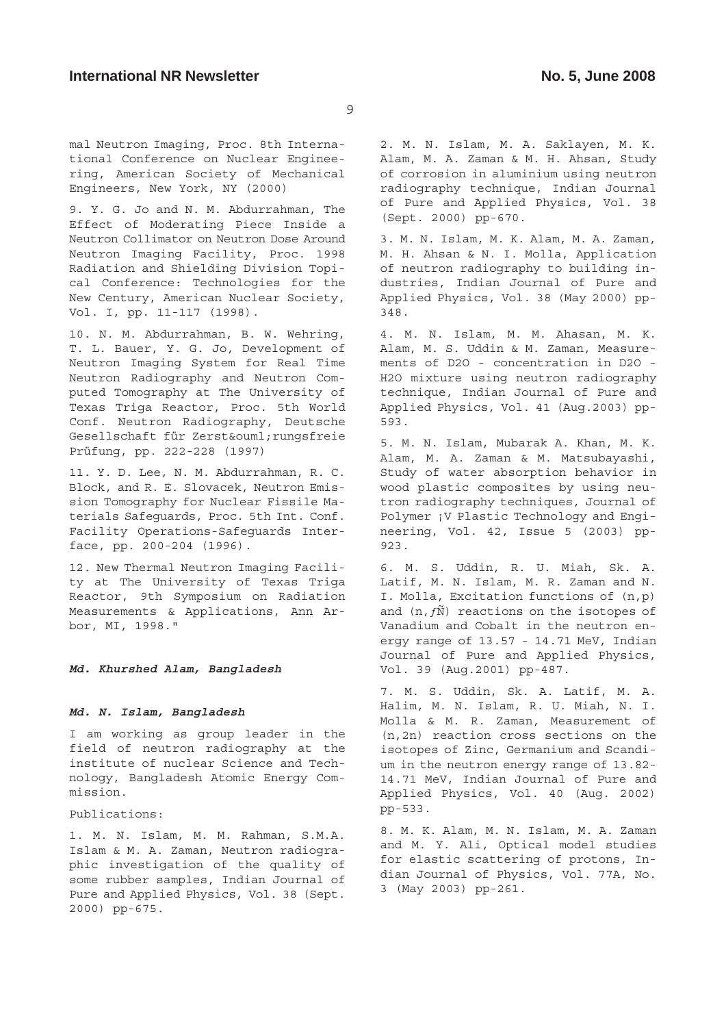mal Neutron Imaging, Proc. 8th International Conference on Nuclear Engineering, American Society of Mechanical Engineers, New York, NY (2000)

9. Y. G. Jo and N. M. Abdurrahman, The Effect of Moderating Piece Inside a Neutron Collimator on Neutron Dose Around Neutron Imaging Facility, Proc. 1998 Radiation and Shielding Division Topical Conference: Technologies for the New Century, American Nuclear Society, Vol. I, pp. 11-117 (1998).

10. N. M. Abdurrahman, B. W. Wehring, T. L. Bauer, Y. G. Jo, Development of Neutron Imaging System for Real Time Neutron Radiography and Neutron Computed Tomography at The University of Texas Triga Reactor, Proc. 5th World Conf. Neutron Radiography, Deutsche Gesellschaft für Zerstö rungsfreie Prüfung, pp. 222-228 (1997)

11. Y. D. Lee, N. M. Abdurrahman, R. C. Block, and R. E. Slovacek, Neutron Emission Tomography for Nuclear Fissile Materials Safeguards, Proc. 5th Int. Conf. Facility Operations-Safeguards Interface, pp. 200-204 (1996).

12. New Thermal Neutron Imaging Facility at The University of Texas Triga Reactor, 9th Symposium on Radiation Measurements & Applications, Ann Arbor, MI, 1998."

**Md. Khurshed Alam, Bangladesh**

### **Md. N. Islam, Bangladesh**

I am working as group leader in the field of neutron radiography at the institute of nuclear Science and Technology, Bangladesh Atomic Energy Commission.

Publications:

1. M. N. Islam, M. M. Rahman, S.M.A. Islam & M. A. Zaman, Neutron radiographic investigation of the quality of some rubber samples, Indian Journal of Pure and Applied Physics, Vol. 38 (Sept. 2000) pp-675.

2. M. N. Islam, M. A. Saklayen, M. K. Alam, M. A. Zaman & M. H. Ahsan, Study of corrosion in aluminium using neutron radiography technique, Indian Journal of Pure and Applied Physics, Vol. 38 (Sept. 2000) pp-670.

3. M. N. Islam, M. K. Alam, M. A. Zaman, M. H. Ahsan & N. I. Molla, Application of neutron radiography to building industries, Indian Journal of Pure and Applied Physics, Vol. 38 (May 2000) pp-348.

4. M. N. Islam, M. M. Ahasan, M. K. Alam, M. S. Uddin & M. Zaman, Measurements of D2O - concentration in D2O - H2O mixture using neutron radiography technique, Indian Journal of Pure and Applied Physics, Vol. 41 (Aug.2003) pp-593.

5. M. N. Islam, Mubarak A. Khan, M. K. Alam, M. A. Zaman & M. Matsubayashi, Study of water absorption behavior in wood plastic composites by using neutron radiography techniques, Journal of Polymer ¡V Plastic Technology and Engineering, Vol. 42, Issue 5 (2003) pp-923.

6. M. S. Uddin, R. U. Miah, Sk. A. Latif, M. N. Islam, M. R. Zaman and N. I. Molla, Excitation functions of (n,p) and  $(n, f\tilde{N})$  reactions on the isotopes of Vanadium and Cobalt in the neutron energy range of 13.57 - 14.71 MeV, Indian Journal of Pure and Applied Physics, Vol. 39 (Aug.2001) pp-487.

7. M. S. Uddin, Sk. A. Latif, M. A. Halim, M. N. Islam, R. U. Miah, N. I. Molla & M. R. Zaman, Measurement of (n,2n) reaction cross sections on the isotopes of Zinc, Germanium and Scandium in the neutron energy range of 13.82- 14.71 MeV, Indian Journal of Pure and Applied Physics, Vol. 40 (Aug. 2002) pp-533.

8. M. K. Alam, M. N. Islam, M. A. Zaman and M. Y. Ali, Optical model studies for elastic scattering of protons, Indian Journal of Physics, Vol. 77A, No. 3 (May 2003) pp-261.

 $\circ$